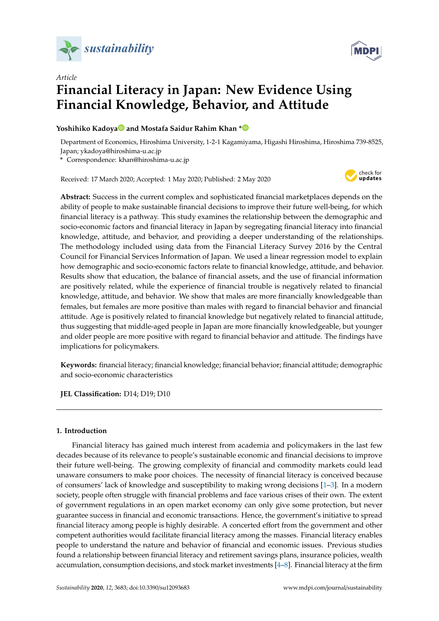



# *Article* **Financial Literacy in Japan: New Evidence Using Financial Knowledge, Behavior, and Attitude**

# **Yoshihiko Kadoy[a](https://orcid.org/0000-0003-3530-164X) and Mostafa Saidur Rahim Khan [\\*](https://orcid.org/0000-0003-2632-3580)**

Department of Economics, Hiroshima University, 1-2-1 Kagamiyama, Higashi Hiroshima, Hiroshima 739-8525, Japan; ykadoya@hiroshima-u.ac.jp

**\*** Correspondence: khan@hiroshima-u.ac.jp

Received: 17 March 2020; Accepted: 1 May 2020; Published: 2 May 2020



**Abstract:** Success in the current complex and sophisticated financial marketplaces depends on the ability of people to make sustainable financial decisions to improve their future well-being, for which financial literacy is a pathway. This study examines the relationship between the demographic and socio-economic factors and financial literacy in Japan by segregating financial literacy into financial knowledge, attitude, and behavior, and providing a deeper understanding of the relationships. The methodology included using data from the Financial Literacy Survey 2016 by the Central Council for Financial Services Information of Japan. We used a linear regression model to explain how demographic and socio-economic factors relate to financial knowledge, attitude, and behavior. Results show that education, the balance of financial assets, and the use of financial information are positively related, while the experience of financial trouble is negatively related to financial knowledge, attitude, and behavior. We show that males are more financially knowledgeable than females, but females are more positive than males with regard to financial behavior and financial attitude. Age is positively related to financial knowledge but negatively related to financial attitude, thus suggesting that middle-aged people in Japan are more financially knowledgeable, but younger and older people are more positive with regard to financial behavior and attitude. The findings have implications for policymakers.

**Keywords:** financial literacy; financial knowledge; financial behavior; financial attitude; demographic and socio-economic characteristics

**JEL Classification:** D14; D19; D10

## **1. Introduction**

Financial literacy has gained much interest from academia and policymakers in the last few decades because of its relevance to people's sustainable economic and financial decisions to improve their future well-being. The growing complexity of financial and commodity markets could lead unaware consumers to make poor choices. The necessity of financial literacy is conceived because of consumers' lack of knowledge and susceptibility to making wrong decisions [\[1](#page-12-0)[–3\]](#page-12-1). In a modern society, people often struggle with financial problems and face various crises of their own. The extent of government regulations in an open market economy can only give some protection, but never guarantee success in financial and economic transactions. Hence, the government's initiative to spread financial literacy among people is highly desirable. A concerted effort from the government and other competent authorities would facilitate financial literacy among the masses. Financial literacy enables people to understand the nature and behavior of financial and economic issues. Previous studies found a relationship between financial literacy and retirement savings plans, insurance policies, wealth accumulation, consumption decisions, and stock market investments [\[4–](#page-12-2)[8\]](#page-12-3). Financial literacy at the firm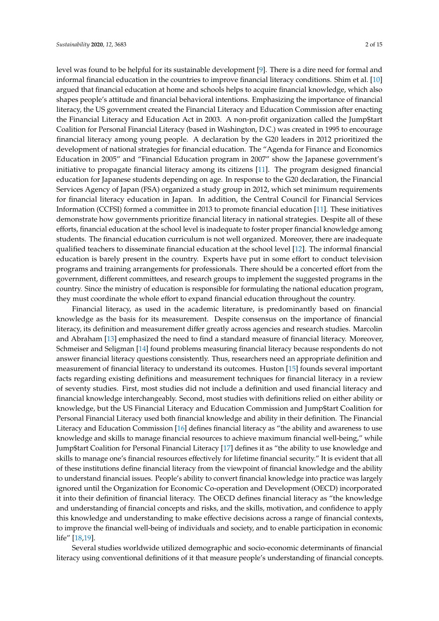level was found to be helpful for its sustainable development [\[9\]](#page-12-4). There is a dire need for formal and informal financial education in the countries to improve financial literacy conditions. Shim et al. [\[10\]](#page-12-5) argued that financial education at home and schools helps to acquire financial knowledge, which also shapes people's attitude and financial behavioral intentions. Emphasizing the importance of financial literacy, the US government created the Financial Literacy and Education Commission after enacting the Financial Literacy and Education Act in 2003. A non-profit organization called the Jump\$tart Coalition for Personal Financial Literacy (based in Washington, D.C.) was created in 1995 to encourage financial literacy among young people. A declaration by the G20 leaders in 2012 prioritized the development of national strategies for financial education. The "Agenda for Finance and Economics Education in 2005" and "Financial Education program in 2007" show the Japanese government's initiative to propagate financial literacy among its citizens [\[11\]](#page-12-6). The program designed financial education for Japanese students depending on age. In response to the G20 declaration, the Financial Services Agency of Japan (FSA) organized a study group in 2012, which set minimum requirements for financial literacy education in Japan. In addition, the Central Council for Financial Services Information (CCFSI) formed a committee in 2013 to promote financial education [\[11\]](#page-12-6). These initiatives demonstrate how governments prioritize financial literacy in national strategies. Despite all of these efforts, financial education at the school level is inadequate to foster proper financial knowledge among students. The financial education curriculum is not well organized. Moreover, there are inadequate qualified teachers to disseminate financial education at the school level [\[12\]](#page-12-7). The informal financial education is barely present in the country. Experts have put in some effort to conduct television programs and training arrangements for professionals. There should be a concerted effort from the government, different committees, and research groups to implement the suggested programs in the country. Since the ministry of education is responsible for formulating the national education program, they must coordinate the whole effort to expand financial education throughout the country.

Financial literacy, as used in the academic literature, is predominantly based on financial knowledge as the basis for its measurement. Despite consensus on the importance of financial literacy, its definition and measurement differ greatly across agencies and research studies. Marcolin and Abraham [\[13\]](#page-12-8) emphasized the need to find a standard measure of financial literacy. Moreover, Schmeiser and Seligman [\[14\]](#page-12-9) found problems measuring financial literacy because respondents do not answer financial literacy questions consistently. Thus, researchers need an appropriate definition and measurement of financial literacy to understand its outcomes. Huston [\[15\]](#page-12-10) founds several important facts regarding existing definitions and measurement techniques for financial literacy in a review of seventy studies. First, most studies did not include a definition and used financial literacy and financial knowledge interchangeably. Second, most studies with definitions relied on either ability or knowledge, but the US Financial Literacy and Education Commission and Jump\$tart Coalition for Personal Financial Literacy used both financial knowledge and ability in their definition. The Financial Literacy and Education Commission [\[16\]](#page-12-11) defines financial literacy as "the ability and awareness to use knowledge and skills to manage financial resources to achieve maximum financial well-being," while Jump\$tart Coalition for Personal Financial Literacy [\[17\]](#page-12-12) defines it as "the ability to use knowledge and skills to manage one's financial resources effectively for lifetime financial security." It is evident that all of these institutions define financial literacy from the viewpoint of financial knowledge and the ability to understand financial issues. People's ability to convert financial knowledge into practice was largely ignored until the Organization for Economic Co-operation and Development (OECD) incorporated it into their definition of financial literacy. The OECD defines financial literacy as "the knowledge and understanding of financial concepts and risks, and the skills, motivation, and confidence to apply this knowledge and understanding to make effective decisions across a range of financial contexts, to improve the financial well-being of individuals and society, and to enable participation in economic life" [\[18,](#page-12-13)[19\]](#page-13-0).

Several studies worldwide utilized demographic and socio-economic determinants of financial literacy using conventional definitions of it that measure people's understanding of financial concepts.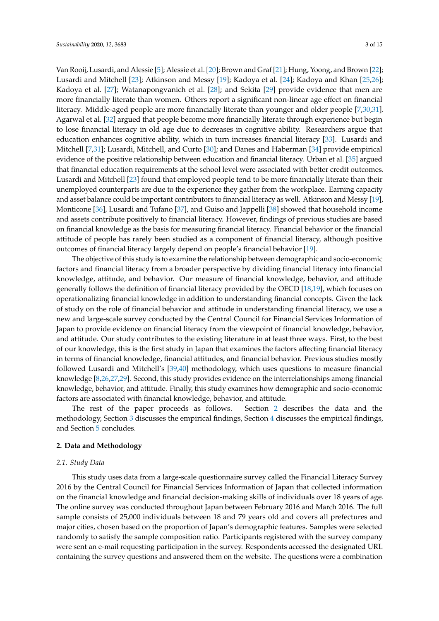Van Rooij, Lusardi, and Alessie [\[5\]](#page-12-14); Alessie et al. [\[20\]](#page-13-1); Brown and Graf [\[21\]](#page-13-2); Hung, Yoong, and Brown [\[22\]](#page-13-3); Lusardi and Mitchell [\[23\]](#page-13-4); Atkinson and Messy [\[19\]](#page-13-0); Kadoya et al. [\[24\]](#page-13-5); Kadoya and Khan [\[25,](#page-13-6)[26\]](#page-13-7); Kadoya et al. [\[27\]](#page-13-8); Watanapongvanich et al. [\[28\]](#page-13-9); and Sekita [\[29\]](#page-13-10) provide evidence that men are more financially literate than women. Others report a significant non-linear age effect on financial literacy. Middle-aged people are more financially literate than younger and older people [\[7,](#page-12-15)[30,](#page-13-11)[31\]](#page-13-12). Agarwal et al. [\[32\]](#page-13-13) argued that people become more financially literate through experience but begin to lose financial literacy in old age due to decreases in cognitive ability. Researchers argue that education enhances cognitive ability, which in turn increases financial literacy [\[33\]](#page-13-14). Lusardi and Mitchell [\[7,](#page-12-15)[31\]](#page-13-12); Lusardi, Mitchell, and Curto [\[30\]](#page-13-11); and Danes and Haberman [\[34\]](#page-13-15) provide empirical evidence of the positive relationship between education and financial literacy. Urban et al. [\[35\]](#page-13-16) argued that financial education requirements at the school level were associated with better credit outcomes. Lusardi and Mitchell [\[23\]](#page-13-4) found that employed people tend to be more financially literate than their unemployed counterparts are due to the experience they gather from the workplace. Earning capacity and asset balance could be important contributors to financial literacy as well. Atkinson and Messy [\[19\]](#page-13-0), Monticone [\[36\]](#page-13-17), Lusardi and Tufano [\[37\]](#page-13-18), and Guiso and Jappelli [\[38\]](#page-13-19) showed that household income and assets contribute positively to financial literacy. However, findings of previous studies are based on financial knowledge as the basis for measuring financial literacy. Financial behavior or the financial attitude of people has rarely been studied as a component of financial literacy, although positive outcomes of financial literacy largely depend on people's financial behavior [\[19\]](#page-13-0).

The objective of this study is to examine the relationship between demographic and socio-economic factors and financial literacy from a broader perspective by dividing financial literacy into financial knowledge, attitude, and behavior. Our measure of financial knowledge, behavior, and attitude generally follows the definition of financial literacy provided by the OECD [\[18](#page-12-13)[,19\]](#page-13-0), which focuses on operationalizing financial knowledge in addition to understanding financial concepts. Given the lack of study on the role of financial behavior and attitude in understanding financial literacy, we use a new and large-scale survey conducted by the Central Council for Financial Services Information of Japan to provide evidence on financial literacy from the viewpoint of financial knowledge, behavior, and attitude. Our study contributes to the existing literature in at least three ways. First, to the best of our knowledge, this is the first study in Japan that examines the factors affecting financial literacy in terms of financial knowledge, financial attitudes, and financial behavior. Previous studies mostly followed Lusardi and Mitchell's [\[39,](#page-13-20)[40\]](#page-13-21) methodology, which uses questions to measure financial knowledge [\[8,](#page-12-3)[26](#page-13-7)[,27](#page-13-8)[,29\]](#page-13-10). Second, this study provides evidence on the interrelationships among financial knowledge, behavior, and attitude. Finally, this study examines how demographic and socio-economic factors are associated with financial knowledge, behavior, and attitude.

The rest of the paper proceeds as follows. Section [2](#page-2-0) describes the data and the methodology, Section [3](#page-7-0) discusses the empirical findings, Section [4](#page-9-0) discusses the empirical findings, and Section [5](#page-11-0) concludes.

#### <span id="page-2-0"></span>**2. Data and Methodology**

#### *2.1. Study Data*

This study uses data from a large-scale questionnaire survey called the Financial Literacy Survey 2016 by the Central Council for Financial Services Information of Japan that collected information on the financial knowledge and financial decision-making skills of individuals over 18 years of age. The online survey was conducted throughout Japan between February 2016 and March 2016. The full sample consists of 25,000 individuals between 18 and 79 years old and covers all prefectures and major cities, chosen based on the proportion of Japan's demographic features. Samples were selected randomly to satisfy the sample composition ratio. Participants registered with the survey company were sent an e-mail requesting participation in the survey. Respondents accessed the designated URL containing the survey questions and answered them on the website. The questions were a combination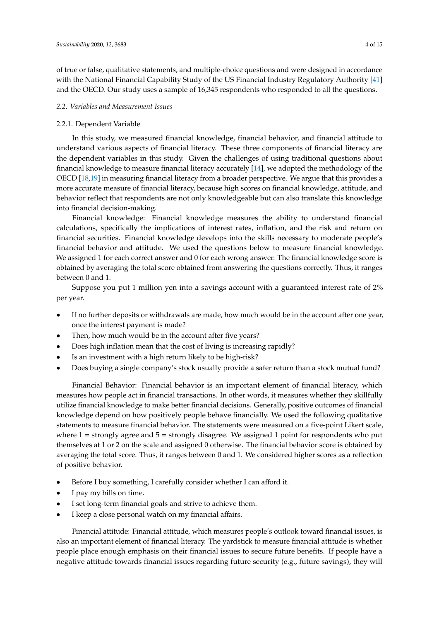of true or false, qualitative statements, and multiple-choice questions and were designed in accordance with the National Financial Capability Study of the US Financial Industry Regulatory Authority [\[41\]](#page-13-22) and the OECD. Our study uses a sample of 16,345 respondents who responded to all the questions.

## *2.2. Variables and Measurement Issues*

## 2.2.1. Dependent Variable

In this study, we measured financial knowledge, financial behavior, and financial attitude to understand various aspects of financial literacy. These three components of financial literacy are the dependent variables in this study. Given the challenges of using traditional questions about financial knowledge to measure financial literacy accurately [\[14\]](#page-12-9), we adopted the methodology of the OECD [\[18,](#page-12-13)[19\]](#page-13-0) in measuring financial literacy from a broader perspective. We argue that this provides a more accurate measure of financial literacy, because high scores on financial knowledge, attitude, and behavior reflect that respondents are not only knowledgeable but can also translate this knowledge into financial decision-making.

Financial knowledge: Financial knowledge measures the ability to understand financial calculations, specifically the implications of interest rates, inflation, and the risk and return on financial securities. Financial knowledge develops into the skills necessary to moderate people's financial behavior and attitude. We used the questions below to measure financial knowledge. We assigned 1 for each correct answer and 0 for each wrong answer. The financial knowledge score is obtained by averaging the total score obtained from answering the questions correctly. Thus, it ranges between 0 and 1.

Suppose you put 1 million yen into a savings account with a guaranteed interest rate of 2% per year.

- If no further deposits or withdrawals are made, how much would be in the account after one year, once the interest payment is made?
- Then, how much would be in the account after five years?
- Does high inflation mean that the cost of living is increasing rapidly?
- Is an investment with a high return likely to be high-risk?
- Does buying a single company's stock usually provide a safer return than a stock mutual fund?

Financial Behavior: Financial behavior is an important element of financial literacy, which measures how people act in financial transactions. In other words, it measures whether they skillfully utilize financial knowledge to make better financial decisions. Generally, positive outcomes of financial knowledge depend on how positively people behave financially. We used the following qualitative statements to measure financial behavior. The statements were measured on a five-point Likert scale, where  $1 =$  strongly agree and  $5 =$  strongly disagree. We assigned 1 point for respondents who put themselves at 1 or 2 on the scale and assigned 0 otherwise. The financial behavior score is obtained by averaging the total score. Thus, it ranges between 0 and 1. We considered higher scores as a reflection of positive behavior.

- Before I buy something, I carefully consider whether I can afford it.
- I pay my bills on time.
- I set long-term financial goals and strive to achieve them.
- I keep a close personal watch on my financial affairs.

Financial attitude: Financial attitude, which measures people's outlook toward financial issues, is also an important element of financial literacy. The yardstick to measure financial attitude is whether people place enough emphasis on their financial issues to secure future benefits. If people have a negative attitude towards financial issues regarding future security (e.g., future savings), they will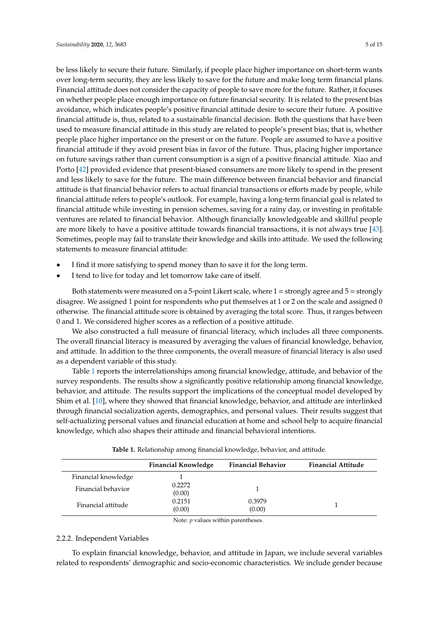be less likely to secure their future. Similarly, if people place higher importance on short-term wants over long-term security, they are less likely to save for the future and make long term financial plans. Financial attitude does not consider the capacity of people to save more for the future. Rather, it focuses on whether people place enough importance on future financial security. It is related to the present bias avoidance, which indicates people's positive financial attitude desire to secure their future. A positive financial attitude is, thus, related to a sustainable financial decision. Both the questions that have been used to measure financial attitude in this study are related to people's present bias; that is, whether people place higher importance on the present or on the future. People are assumed to have a positive financial attitude if they avoid present bias in favor of the future. Thus, placing higher importance on future savings rather than current consumption is a sign of a positive financial attitude. Xiao and Porto [\[42\]](#page-13-23) provided evidence that present-biased consumers are more likely to spend in the present and less likely to save for the future. The main difference between financial behavior and financial attitude is that financial behavior refers to actual financial transactions or efforts made by people, while financial attitude refers to people's outlook. For example, having a long-term financial goal is related to financial attitude while investing in pension schemes, saving for a rainy day, or investing in profitable ventures are related to financial behavior. Although financially knowledgeable and skillful people are more likely to have a positive attitude towards financial transactions, it is not always true [\[43\]](#page-13-24). Sometimes, people may fail to translate their knowledge and skills into attitude. We used the following statements to measure financial attitude:

- I find it more satisfying to spend money than to save it for the long term.
- I tend to live for today and let tomorrow take care of itself.

Both statements were measured on a 5-point Likert scale, where 1 = strongly agree and 5 = strongly disagree. We assigned 1 point for respondents who put themselves at 1 or 2 on the scale and assigned 0 otherwise. The financial attitude score is obtained by averaging the total score. Thus, it ranges between 0 and 1. We considered higher scores as a reflection of a positive attitude.

We also constructed a full measure of financial literacy, which includes all three components. The overall financial literacy is measured by averaging the values of financial knowledge, behavior, and attitude. In addition to the three components, the overall measure of financial literacy is also used as a dependent variable of this study.

Table [1](#page-4-0) reports the interrelationships among financial knowledge, attitude, and behavior of the survey respondents. The results show a significantly positive relationship among financial knowledge, behavior, and attitude. The results support the implications of the conceptual model developed by Shim et al. [\[10\]](#page-12-5), where they showed that financial knowledge, behavior, and attitude are interlinked through financial socialization agents, demographics, and personal values. Their results suggest that self-actualizing personal values and financial education at home and school help to acquire financial knowledge, which also shapes their attitude and financial behavioral intentions.

<span id="page-4-0"></span>

|                     | <b>Financial Knowledge</b> | <b>Financial Behavior</b> | <b>Financial Attitude</b> |
|---------------------|----------------------------|---------------------------|---------------------------|
| Financial knowledge |                            |                           |                           |
| Financial behavior  | 0.2272                     |                           |                           |
|                     | (0.00)                     |                           |                           |
| Financial attitude  | 0.2151                     | 0.3979                    |                           |
|                     | (0.00)                     | (0.00)                    |                           |

**Table 1.** Relationship among financial knowledge, behavior, and attitude.

Note: *p* values within parentheses.

# 2.2.2. Independent Variables

To explain financial knowledge, behavior, and attitude in Japan, we include several variables related to respondents' demographic and socio-economic characteristics. We include gender because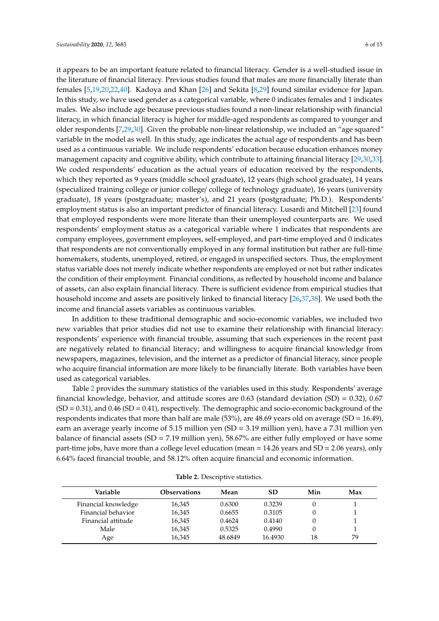it appears to be an important feature related to financial literacy. Gender is a well-studied issue in the literature of financial literacy. Previous studies found that males are more financially literate than females [\[5,](#page-12-14)[19,](#page-13-0)[20,](#page-13-1)[22,](#page-13-3)[40\]](#page-13-21). Kadoya and Khan [\[26\]](#page-13-7) and Sekita [\[8,](#page-12-3)[29\]](#page-13-10) found similar evidence for Japan. In this study, we have used gender as a categorical variable, where 0 indicates females and 1 indicates males. We also include age because previous studies found a non-linear relationship with financial literacy, in which financial literacy is higher for middle-aged respondents as compared to younger and older respondents [\[7,](#page-12-15)[29,](#page-13-10)[30\]](#page-13-11). Given the probable non-linear relationship, we included an "age squared" variable in the model as well. In this study, age indicates the actual age of respondents and has been used as a continuous variable. We include respondents' education because education enhances money management capacity and cognitive ability, which contribute to attaining financial literacy [\[29,](#page-13-10)[30,](#page-13-11)[33\]](#page-13-14). We coded respondents' education as the actual years of education received by the respondents, which they reported as 9 years (middle school graduate), 12 years (high school graduate), 14 years (specialized training college or junior college/ college of technology graduate), 16 years (university graduate), 18 years (postgraduate; master's), and 21 years (postgraduate; Ph.D.). Respondents' employment status is also an important predictor of financial literacy. Lusardi and Mitchell [\[23\]](#page-13-4) found that employed respondents were more literate than their unemployed counterparts are. We used respondents' employment status as a categorical variable where 1 indicates that respondents are company employees, government employees, self-employed, and part-time employed and 0 indicates that respondents are not conventionally employed in any formal institution but rather are full-time homemakers, students, unemployed, retired, or engaged in unspecified sectors. Thus, the employment status variable does not merely indicate whether respondents are employed or not but rather indicates the condition of their employment. Financial conditions, as reflected by household income and balance of assets, can also explain financial literacy. There is sufficient evidence from empirical studies that household income and assets are positively linked to financial literacy [\[26](#page-13-7)[,37](#page-13-18)[,38\]](#page-13-19). We used both the income and financial assets variables as continuous variables.

In addition to these traditional demographic and socio-economic variables, we included two new variables that prior studies did not use to examine their relationship with financial literacy: respondents' experience with financial trouble, assuming that such experiences in the recent past are negatively related to financial literacy; and willingness to acquire financial knowledge from newspapers, magazines, television, and the internet as a predictor of financial literacy, since people who acquire financial information are more likely to be financially literate. Both variables have been used as categorical variables.

Table [2](#page-5-0) provides the summary statistics of the variables used in this study. Respondents' average financial knowledge, behavior, and attitude scores are  $0.63$  (standard deviation (SD) =  $0.32$ ),  $0.67$  $(SD = 0.31)$ , and  $0.46$   $(SD = 0.41)$ , respectively. The demographic and socio-economic background of the respondents indicates that more than half are male (53%), are 48.69 years old on average (SD = 16.49), earn an average yearly income of 5.15 million yen (SD = 3.19 million yen), have a 7.31 million yen balance of financial assets (SD = 7.19 million yen), 58.67% are either fully employed or have some part-time jobs, have more than a college level education (mean = 14.26 years and SD = 2.06 years), only 6.64% faced financial trouble, and 58.12% often acquire financial and economic information.

<span id="page-5-0"></span>

| Variable            | <b>Observations</b> | Mean    | SD      | Min | Max |
|---------------------|---------------------|---------|---------|-----|-----|
| Financial knowledge | 16,345              | 0.6300  | 0.3239  |     |     |
| Financial behavior  | 16,345              | 0.6655  | 0.3105  |     |     |
| Financial attitude  | 16,345              | 0.4624  | 0.4140  |     |     |
| Male                | 16,345              | 0.5325  | 0.4990  |     |     |
| Age                 | 16,345              | 48.6849 | 16.4930 | 18  | 79  |

**Table 2.** Descriptive statistics.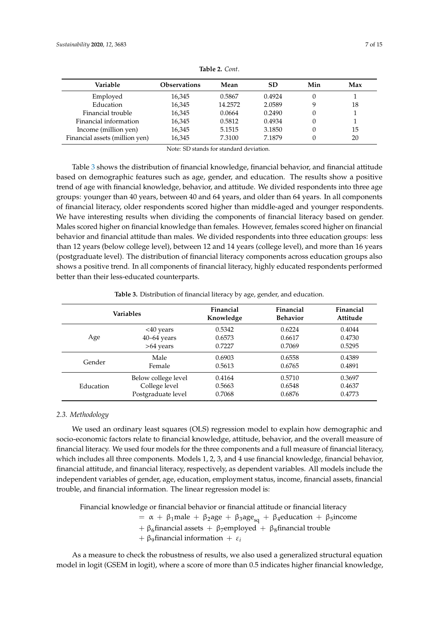| Variable                       | <b>Observations</b> | Mean    | SD     | Min | Max |
|--------------------------------|---------------------|---------|--------|-----|-----|
| Employed                       | 16,345              | 0.5867  | 0.4924 |     |     |
| Education                      | 16,345              | 14.2572 | 2.0589 | Q   | 18  |
| Financial trouble              | 16,345              | 0.0664  | 0.2490 | 0   |     |
| Financial information          | 16,345              | 0.5812  | 0.4934 | 0   |     |
| Income (million yen)           | 16,345              | 5.1515  | 3.1850 |     | 15  |
| Financial assets (million yen) | 16,345              | 7.3100  | 7.1879 |     | 20  |

**Table 2.** *Cont*.

Note: SD stands for standard deviation.

Table [3](#page-6-0) shows the distribution of financial knowledge, financial behavior, and financial attitude based on demographic features such as age, gender, and education. The results show a positive trend of age with financial knowledge, behavior, and attitude. We divided respondents into three age groups: younger than 40 years, between 40 and 64 years, and older than 64 years. In all components of financial literacy, older respondents scored higher than middle-aged and younger respondents. We have interesting results when dividing the components of financial literacy based on gender. Males scored higher on financial knowledge than females. However, females scored higher on financial behavior and financial attitude than males. We divided respondents into three education groups: less than 12 years (below college level), between 12 and 14 years (college level), and more than 16 years (postgraduate level). The distribution of financial literacy components across education groups also shows a positive trend. In all components of financial literacy, highly educated respondents performed better than their less-educated counterparts.

<span id="page-6-0"></span>

|           | <b>Variables</b>    | Financial<br>Knowledge | Financial<br><b>Behavior</b> | Financial<br>Attitude |
|-----------|---------------------|------------------------|------------------------------|-----------------------|
|           | $<$ 40 years        | 0.5342                 | 0.6224                       | 0.4044                |
| Age       | $40 - 64$ years     | 0.6573                 | 0.6617                       | 0.4730                |
|           | $>64$ years         | 0.7227                 | 0.7069                       | 0.5295                |
| Gender    | Male                | 0.6903                 | 0.6558                       | 0.4389                |
|           | Female              | 0.5613                 | 0.6765                       | 0.4891                |
| Education | Below college level | 0.4164                 | 0.5710                       | 0.3697                |
|           | College level       | 0.5663                 | 0.6548                       | 0.4637                |
|           | Postgraduate level  | 0.7068                 | 0.6876                       | 0.4773                |

**Table 3.** Distribution of financial literacy by age, gender, and education.

## *2.3. Methodology*

We used an ordinary least squares (OLS) regression model to explain how demographic and socio-economic factors relate to financial knowledge, attitude, behavior, and the overall measure of financial literacy. We used four models for the three components and a full measure of financial literacy, which includes all three components. Models 1, 2, 3, and 4 use financial knowledge, financial behavior, financial attitude, and financial literacy, respectively, as dependent variables. All models include the independent variables of gender, age, education, employment status, income, financial assets, financial trouble, and financial information. The linear regression model is:

Financial knowledge or financial behavior or financial attitude or financial literacy

=  $\alpha$  +  $\beta_1$ male +  $\beta_2$ age +  $\beta_3$ age<sub>sq</sub> +  $\beta_4$ education +  $\beta_5$ income

+  $\beta_6$ financial assets +  $\beta_7$ employed +  $\beta_8$ financial trouble

 $+ \beta_9$ financial information  $+ \varepsilon_i$ 

As a measure to check the robustness of results, we also used a generalized structural equation model in logit (GSEM in logit), where a score of more than 0.5 indicates higher financial knowledge,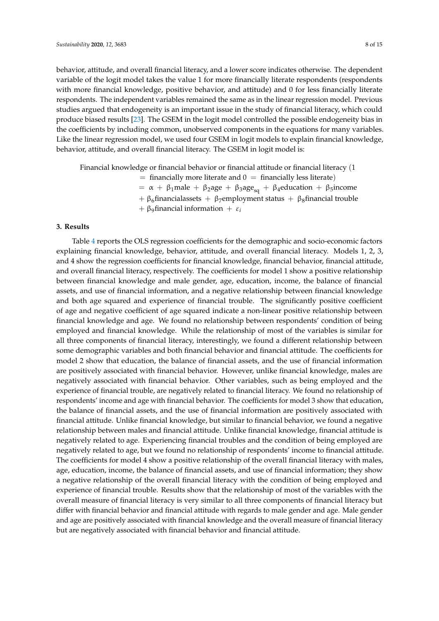behavior, attitude, and overall financial literacy, and a lower score indicates otherwise. The dependent

variable of the logit model takes the value 1 for more financially literate respondents (respondents with more financial knowledge, positive behavior, and attitude) and 0 for less financially literate respondents. The independent variables remained the same as in the linear regression model. Previous studies argued that endogeneity is an important issue in the study of financial literacy, which could produce biased results [\[23\]](#page-13-4). The GSEM in the logit model controlled the possible endogeneity bias in the coefficients by including common, unobserved components in the equations for many variables. Like the linear regression model, we used four GSEM in logit models to explain financial knowledge, behavior, attitude, and overall financial literacy. The GSEM in logit model is:

Financial knowledge or financial behavior or financial attitude or financial literacy (1  $=$  financially more literate and  $0 =$  financially less literate) =  $\alpha$  +  $\beta_1$ male +  $\beta_2$ age +  $\beta_3$ age<sub>sq</sub> +  $\beta_4$ education +  $\beta_5$ income +  $\beta_6$ financialassets +  $\beta_7$ employment status +  $\beta_8$ financial trouble

 $+ \beta_9$ financial information  $+ \varepsilon_i$ 

## <span id="page-7-0"></span>**3. Results**

Table [4](#page-8-0) reports the OLS regression coefficients for the demographic and socio-economic factors explaining financial knowledge, behavior, attitude, and overall financial literacy. Models 1, 2, 3, and 4 show the regression coefficients for financial knowledge, financial behavior, financial attitude, and overall financial literacy, respectively. The coefficients for model 1 show a positive relationship between financial knowledge and male gender, age, education, income, the balance of financial assets, and use of financial information, and a negative relationship between financial knowledge and both age squared and experience of financial trouble. The significantly positive coefficient of age and negative coefficient of age squared indicate a non-linear positive relationship between financial knowledge and age. We found no relationship between respondents' condition of being employed and financial knowledge. While the relationship of most of the variables is similar for all three components of financial literacy, interestingly, we found a different relationship between some demographic variables and both financial behavior and financial attitude. The coefficients for model 2 show that education, the balance of financial assets, and the use of financial information are positively associated with financial behavior. However, unlike financial knowledge, males are negatively associated with financial behavior. Other variables, such as being employed and the experience of financial trouble, are negatively related to financial literacy. We found no relationship of respondents' income and age with financial behavior. The coefficients for model 3 show that education, the balance of financial assets, and the use of financial information are positively associated with financial attitude. Unlike financial knowledge, but similar to financial behavior, we found a negative relationship between males and financial attitude. Unlike financial knowledge, financial attitude is negatively related to age. Experiencing financial troubles and the condition of being employed are negatively related to age, but we found no relationship of respondents' income to financial attitude. The coefficients for model 4 show a positive relationship of the overall financial literacy with males, age, education, income, the balance of financial assets, and use of financial information; they show a negative relationship of the overall financial literacy with the condition of being employed and experience of financial trouble. Results show that the relationship of most of the variables with the overall measure of financial literacy is very similar to all three components of financial literacy but differ with financial behavior and financial attitude with regards to male gender and age. Male gender and age are positively associated with financial knowledge and the overall measure of financial literacy but are negatively associated with financial behavior and financial attitude.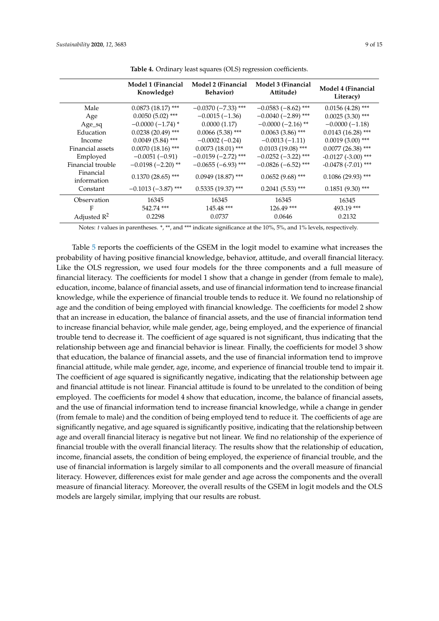<span id="page-8-0"></span>

|                          | Model 1 (Financial<br>Knowledge) | Model 2 (Financial<br><b>Behavior</b> ) | Model 3 (Financial<br>Attitude) | Model 4 (Financial<br>Literacy) |
|--------------------------|----------------------------------|-----------------------------------------|---------------------------------|---------------------------------|
| Male                     | $0.0873(18.17)$ ***              | $-0.0370$ (-7.33) ***                   | $-0.0583(-8.62)$ ***            | $0.0156(4.28)$ ***              |
| Age                      | $0.0050(5.02)$ ***               | $-0.0015(-1.36)$                        | $-0.0040$ (-2.89) ***           | $0.0025(3.30)$ ***              |
| Age_sq                   | $-0.0000(-1.74)$ *               | 0.0000(1.17)                            | $-0.0000(-2.16)$ **             | $-0.0000(-1.18)$                |
| Education                | $0.0238(20.49)$ ***              | $0.0066(5.38)$ ***                      | $0.0063(3.86)$ ***              | $0.0143(16.28)$ ***             |
| Income                   | $0.0049(5.84)$ ***               | $-0.0002(-0.24)$                        | $-0.0013(-1.11)$                | $0.0019(3.00)$ ***              |
| Financial assets         | $0.0070(18.16)$ ***              | $0.0073(18.01)$ ***                     | $0.0103(19.08)$ ***             | $0.0077$ (26.38) ***            |
| Employed                 | $-0.0051(-0.91)$                 | $-0.0159(-2.72)$ ***                    | $-0.0252$ (-3.22) ***           | $-0.0127$ ( $-3.00$ ) ***       |
| Financial trouble        | $-0.0198(-2.20)$ **              | $-0.0655(-6.93)$ ***                    | $-0.0826(-6.52)$ ***            | $-0.0478$ ( $-7.01$ ) ***       |
| Financial<br>information | $0.1370(28.65)$ ***              | $0.0949(18.87)$ ***                     | $0.0652(9.68)$ ***              | $0.1086(29.93)$ ***             |
| Constant                 | $-0.1013(-3.87)$ ***             | $0.5335(19.37)$ ***                     | $0.2041(5.53)$ ***              | $0.1851(9.30)$ ***              |
| Observation              | 16345                            | 16345                                   | 16345                           | 16345                           |
| F                        | 542.74 ***                       | 145.48 ***                              | $126.49$ ***                    | 493.19 ***                      |
| Adjusted $R^2$           | 0.2298                           | 0.0737                                  | 0.0646                          | 0.2132                          |

**Table 4.** Ordinary least squares (OLS) regression coefficients.

Notes: *t* values in parentheses. \*, \*\*, and \*\*\* indicate significance at the 10%, 5%, and 1% levels, respectively.

Table [5](#page-9-1) reports the coefficients of the GSEM in the logit model to examine what increases the probability of having positive financial knowledge, behavior, attitude, and overall financial literacy. Like the OLS regression, we used four models for the three components and a full measure of financial literacy. The coefficients for model 1 show that a change in gender (from female to male), education, income, balance of financial assets, and use of financial information tend to increase financial knowledge, while the experience of financial trouble tends to reduce it. We found no relationship of age and the condition of being employed with financial knowledge. The coefficients for model 2 show that an increase in education, the balance of financial assets, and the use of financial information tend to increase financial behavior, while male gender, age, being employed, and the experience of financial trouble tend to decrease it. The coefficient of age squared is not significant, thus indicating that the relationship between age and financial behavior is linear. Finally, the coefficients for model 3 show that education, the balance of financial assets, and the use of financial information tend to improve financial attitude, while male gender, age, income, and experience of financial trouble tend to impair it. The coefficient of age squared is significantly negative, indicating that the relationship between age and financial attitude is not linear. Financial attitude is found to be unrelated to the condition of being employed. The coefficients for model 4 show that education, income, the balance of financial assets, and the use of financial information tend to increase financial knowledge, while a change in gender (from female to male) and the condition of being employed tend to reduce it. The coefficients of age are significantly negative, and age squared is significantly positive, indicating that the relationship between age and overall financial literacy is negative but not linear. We find no relationship of the experience of financial trouble with the overall financial literacy. The results show that the relationship of education, income, financial assets, the condition of being employed, the experience of financial trouble, and the use of financial information is largely similar to all components and the overall measure of financial literacy. However, differences exist for male gender and age across the components and the overall measure of financial literacy. Moreover, the overall results of the GSEM in logit models and the OLS models are largely similar, implying that our results are robust.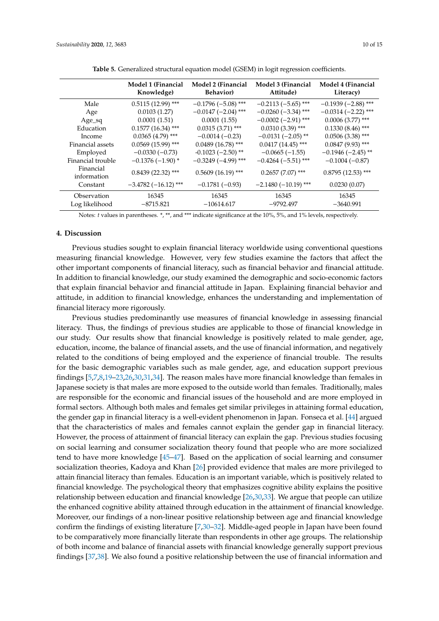| 10 of |  |
|-------|--|
|       |  |

<span id="page-9-1"></span>

|                               | Model 1 (Financial<br>Knowledge) | Model 2 (Financial<br><b>Behavior</b> ) | Model 3 (Financial<br>Attitude) | Model 4 (Financial<br>Literacy) |
|-------------------------------|----------------------------------|-----------------------------------------|---------------------------------|---------------------------------|
| Male                          | $0.5115(12.99)$ ***              | $-0.1796(-5.08)$ ***                    | $-0.2113(-5.65)$ ***            | $-0.1939(-2.88)$ ***            |
| Age                           | 0.0103(1.27)                     | $-0.0147$ (-2.04) ***                   | $-0.0260$ (-3.34) ***           | $-0.0314(-2.22)$ ***            |
| Age_sq                        | 0.0001(1.51)                     | 0.0001(1.55)                            | $-0.0002$ (-2.91) ***           | $0.0006(3.77)$ ***              |
| Education                     | $0.1577(16.34)$ ***              | $0.0315(3.71)$ ***                      | $0.0310(3.39)$ ***              | $0.1330(8.46)$ ***              |
| Income                        | $0.0365(4.79)$ ***               | $-0.0014(-0.23)$                        | $-0.0131(-2.05)$ **             | $0.0506(3.38)$ ***              |
| Financial assets              | $0.0569(15.99)$ ***              | $0.0489(16.78)$ ***                     | $0.0417(14.45)$ ***             | $0.0847(9.93)$ ***              |
| Employed                      | $-0.0330(-0.73)$                 | $-0.1023$ $(-2.50)$ **                  | $-0.0665(-1.55)$                | $-0.1946$ ( $-2.45$ ) **        |
| Financial trouble             | $-0.1376(-1.90)$ *               | $-0.3249(-4.99)$ ***                    | $-0.4264$ ( $-5.51$ ) ***       | $-0.1004(-0.87)$                |
| Financial<br>information      | $0.8439(22.32)$ ***              | $0.5609(16.19)$ ***                     | $0.2657(7.07)$ ***              | $0.8795(12.53)$ ***             |
| Constant                      | $-3.4782(-16.12)$ ***            | $-0.1781(-0.93)$                        | $-2.1480(-10.19)$ ***           | 0.0230(0.07)                    |
| Observation<br>Log likelihood | 16345<br>$-8715.821$             | 16345<br>$-10614.617$                   | 16345<br>$-9792.497$            | 16345<br>$-3640.991$            |

**Table 5.** Generalized structural equation model (GSEM) in logit regression coefficients.

Notes: *t* values in parentheses. \*, \*\*, and \*\*\* indicate significance at the 10%, 5%, and 1% levels, respectively.

#### <span id="page-9-0"></span>**4. Discussion**

Previous studies sought to explain financial literacy worldwide using conventional questions measuring financial knowledge. However, very few studies examine the factors that affect the other important components of financial literacy, such as financial behavior and financial attitude. In addition to financial knowledge, our study examined the demographic and socio-economic factors that explain financial behavior and financial attitude in Japan. Explaining financial behavior and attitude, in addition to financial knowledge, enhances the understanding and implementation of financial literacy more rigorously.

Previous studies predominantly use measures of financial knowledge in assessing financial literacy. Thus, the findings of previous studies are applicable to those of financial knowledge in our study. Our results show that financial knowledge is positively related to male gender, age, education, income, the balance of financial assets, and the use of financial information, and negatively related to the conditions of being employed and the experience of financial trouble. The results for the basic demographic variables such as male gender, age, and education support previous findings [\[5](#page-12-14)[,7,](#page-12-15)[8,](#page-12-3)[19](#page-13-0)[–23,](#page-13-4)[26,](#page-13-7)[30,](#page-13-11)[31,](#page-13-12)[34\]](#page-13-15). The reason males have more financial knowledge than females in Japanese society is that males are more exposed to the outside world than females. Traditionally, males are responsible for the economic and financial issues of the household and are more employed in formal sectors. Although both males and females get similar privileges in attaining formal education, the gender gap in financial literacy is a well-evident phenomenon in Japan. Fonseca et al. [\[44\]](#page-13-25) argued that the characteristics of males and females cannot explain the gender gap in financial literacy. However, the process of attainment of financial literacy can explain the gap. Previous studies focusing on social learning and consumer socialization theory found that people who are more socialized tend to have more knowledge [\[45](#page-14-0)[–47\]](#page-14-1). Based on the application of social learning and consumer socialization theories, Kadoya and Khan [\[26\]](#page-13-7) provided evidence that males are more privileged to attain financial literacy than females. Education is an important variable, which is positively related to financial knowledge. The psychological theory that emphasizes cognitive ability explains the positive relationship between education and financial knowledge [\[26](#page-13-7)[,30](#page-13-11)[,33\]](#page-13-14). We argue that people can utilize the enhanced cognitive ability attained through education in the attainment of financial knowledge. Moreover, our findings of a non-linear positive relationship between age and financial knowledge confirm the findings of existing literature [\[7,](#page-12-15)[30](#page-13-11)[–32\]](#page-13-13). Middle-aged people in Japan have been found to be comparatively more financially literate than respondents in other age groups. The relationship of both income and balance of financial assets with financial knowledge generally support previous findings [\[37](#page-13-18)[,38\]](#page-13-19). We also found a positive relationship between the use of financial information and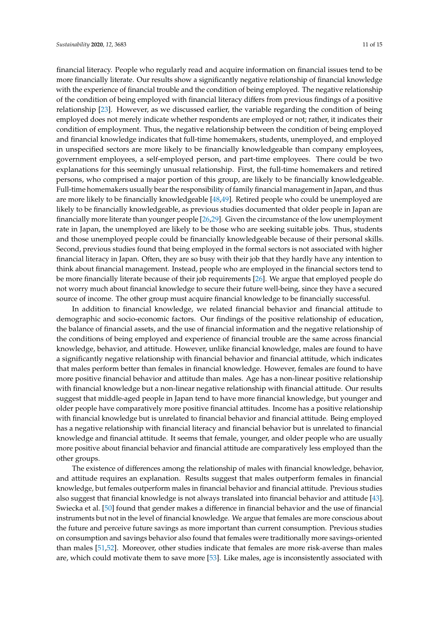financial literacy. People who regularly read and acquire information on financial issues tend to be more financially literate. Our results show a significantly negative relationship of financial knowledge with the experience of financial trouble and the condition of being employed. The negative relationship of the condition of being employed with financial literacy differs from previous findings of a positive relationship [\[23\]](#page-13-4). However, as we discussed earlier, the variable regarding the condition of being employed does not merely indicate whether respondents are employed or not; rather, it indicates their condition of employment. Thus, the negative relationship between the condition of being employed and financial knowledge indicates that full-time homemakers, students, unemployed, and employed in unspecified sectors are more likely to be financially knowledgeable than company employees, government employees, a self-employed person, and part-time employees. There could be two explanations for this seemingly unusual relationship. First, the full-time homemakers and retired persons, who comprised a major portion of this group, are likely to be financially knowledgeable. Full-time homemakers usually bear the responsibility of family financial management in Japan, and thus are more likely to be financially knowledgeable [\[48,](#page-14-2)[49\]](#page-14-3). Retired people who could be unemployed are likely to be financially knowledgeable, as previous studies documented that older people in Japan are financially more literate than younger people [\[26](#page-13-7)[,29\]](#page-13-10). Given the circumstance of the low unemployment rate in Japan, the unemployed are likely to be those who are seeking suitable jobs. Thus, students and those unemployed people could be financially knowledgeable because of their personal skills. Second, previous studies found that being employed in the formal sectors is not associated with higher financial literacy in Japan. Often, they are so busy with their job that they hardly have any intention to think about financial management. Instead, people who are employed in the financial sectors tend to be more financially literate because of their job requirements [\[26\]](#page-13-7). We argue that employed people do not worry much about financial knowledge to secure their future well-being, since they have a secured source of income. The other group must acquire financial knowledge to be financially successful.

In addition to financial knowledge, we related financial behavior and financial attitude to demographic and socio-economic factors. Our findings of the positive relationship of education, the balance of financial assets, and the use of financial information and the negative relationship of the conditions of being employed and experience of financial trouble are the same across financial knowledge, behavior, and attitude. However, unlike financial knowledge, males are found to have a significantly negative relationship with financial behavior and financial attitude, which indicates that males perform better than females in financial knowledge. However, females are found to have more positive financial behavior and attitude than males. Age has a non-linear positive relationship with financial knowledge but a non-linear negative relationship with financial attitude. Our results suggest that middle-aged people in Japan tend to have more financial knowledge, but younger and older people have comparatively more positive financial attitudes. Income has a positive relationship with financial knowledge but is unrelated to financial behavior and financial attitude. Being employed has a negative relationship with financial literacy and financial behavior but is unrelated to financial knowledge and financial attitude. It seems that female, younger, and older people who are usually more positive about financial behavior and financial attitude are comparatively less employed than the other groups.

The existence of differences among the relationship of males with financial knowledge, behavior, and attitude requires an explanation. Results suggest that males outperform females in financial knowledge, but females outperform males in financial behavior and financial attitude. Previous studies also suggest that financial knowledge is not always translated into financial behavior and attitude [\[43\]](#page-13-24). Swiecka et al. [\[50\]](#page-14-4) found that gender makes a difference in financial behavior and the use of financial instruments but not in the level of financial knowledge. We argue that females are more conscious about the future and perceive future savings as more important than current consumption. Previous studies on consumption and savings behavior also found that females were traditionally more savings-oriented than males [\[51](#page-14-5)[,52\]](#page-14-6). Moreover, other studies indicate that females are more risk-averse than males are, which could motivate them to save more [\[53\]](#page-14-7). Like males, age is inconsistently associated with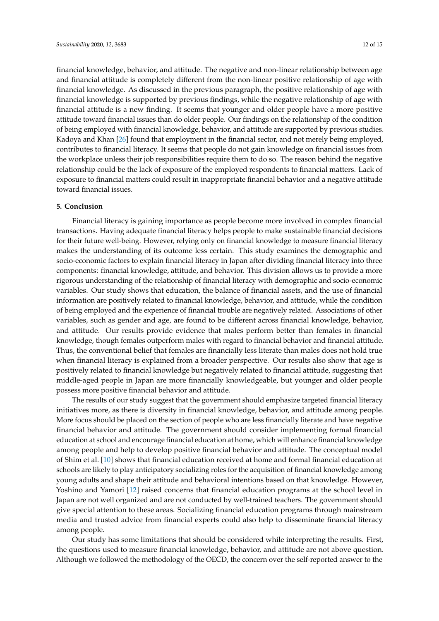financial knowledge, behavior, and attitude. The negative and non-linear relationship between age and financial attitude is completely different from the non-linear positive relationship of age with financial knowledge. As discussed in the previous paragraph, the positive relationship of age with financial knowledge is supported by previous findings, while the negative relationship of age with financial attitude is a new finding. It seems that younger and older people have a more positive attitude toward financial issues than do older people. Our findings on the relationship of the condition of being employed with financial knowledge, behavior, and attitude are supported by previous studies. Kadoya and Khan [\[26\]](#page-13-7) found that employment in the financial sector, and not merely being employed, contributes to financial literacy. It seems that people do not gain knowledge on financial issues from the workplace unless their job responsibilities require them to do so. The reason behind the negative relationship could be the lack of exposure of the employed respondents to financial matters. Lack of exposure to financial matters could result in inappropriate financial behavior and a negative attitude toward financial issues.

## <span id="page-11-0"></span>**5. Conclusion**

Financial literacy is gaining importance as people become more involved in complex financial transactions. Having adequate financial literacy helps people to make sustainable financial decisions for their future well-being. However, relying only on financial knowledge to measure financial literacy makes the understanding of its outcome less certain. This study examines the demographic and socio-economic factors to explain financial literacy in Japan after dividing financial literacy into three components: financial knowledge, attitude, and behavior. This division allows us to provide a more rigorous understanding of the relationship of financial literacy with demographic and socio-economic variables. Our study shows that education, the balance of financial assets, and the use of financial information are positively related to financial knowledge, behavior, and attitude, while the condition of being employed and the experience of financial trouble are negatively related. Associations of other variables, such as gender and age, are found to be different across financial knowledge, behavior, and attitude. Our results provide evidence that males perform better than females in financial knowledge, though females outperform males with regard to financial behavior and financial attitude. Thus, the conventional belief that females are financially less literate than males does not hold true when financial literacy is explained from a broader perspective. Our results also show that age is positively related to financial knowledge but negatively related to financial attitude, suggesting that middle-aged people in Japan are more financially knowledgeable, but younger and older people possess more positive financial behavior and attitude.

The results of our study suggest that the government should emphasize targeted financial literacy initiatives more, as there is diversity in financial knowledge, behavior, and attitude among people. More focus should be placed on the section of people who are less financially literate and have negative financial behavior and attitude. The government should consider implementing formal financial education at school and encourage financial education at home, which will enhance financial knowledge among people and help to develop positive financial behavior and attitude. The conceptual model of Shim et al. [\[10\]](#page-12-5) shows that financial education received at home and formal financial education at schools are likely to play anticipatory socializing roles for the acquisition of financial knowledge among young adults and shape their attitude and behavioral intentions based on that knowledge. However, Yoshino and Yamori [\[12\]](#page-12-7) raised concerns that financial education programs at the school level in Japan are not well organized and are not conducted by well-trained teachers. The government should give special attention to these areas. Socializing financial education programs through mainstream media and trusted advice from financial experts could also help to disseminate financial literacy among people.

Our study has some limitations that should be considered while interpreting the results. First, the questions used to measure financial knowledge, behavior, and attitude are not above question. Although we followed the methodology of the OECD, the concern over the self-reported answer to the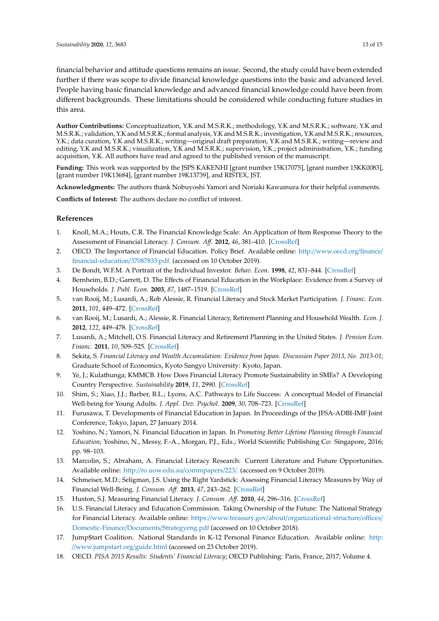financial behavior and attitude questions remains an issue. Second, the study could have been extended further if there was scope to divide financial knowledge questions into the basic and advanced level. People having basic financial knowledge and advanced financial knowledge could have been from different backgrounds. These limitations should be considered while conducting future studies in this area.

**Author Contributions:** Conceptualization, Y.K and M.S.R.K.; methodology, Y.K and M.S.R.K.; software, Y.K and M.S.R.K.; validation, Y.K and M.S.R.K.; formal analysis, Y.K andM.S.R.K.; investigation, Y.K and M.S.R.K.; resources, Y.K.; data curation, Y.K and M.S.R.K.; writing—original draft preparation, Y.K and M.S.R.K.; writing—review and editing, Y.K and M.S.R.K.; visualization, Y.K and M.S.R.K.; supervision, Y.K.; project administration, Y.K.; funding acquisition, Y.K. All authors have read and agreed to the published version of the manuscript.

**Funding:** This work was supported by the JSPS KAKENHI [grant number 15K17075], [grant number 15KK0083], [grant number 19K13684], [grant number 19K13739], and RISTEX, JST.

**Acknowledgments:** The authors thank Nobuyoshi Yamori and Noriaki Kawamura for their helpful comments.

**Conflicts of Interest:** The authors declare no conflict of interest.

# **References**

- <span id="page-12-0"></span>1. Knoll, M.A.; Houts, C.R. The Financial Knowledge Scale: An Application of Item Response Theory to the Assessment of Financial Literacy. *J. Consum. A*ff*.* **2012**, *46*, 381–410. [\[CrossRef\]](http://dx.doi.org/10.1111/j.1745-6606.2012.01241.x)
- 2. OECD. The Importance of Financial Education. Policy Brief. Available online: http://[www.oecd.org](http://www.oecd.org/finance/financial-education/37087833.pdf.)/finance/ [financial-education](http://www.oecd.org/finance/financial-education/37087833.pdf.)/37087833.pdf. (accessed on 10 October 2019).
- <span id="page-12-1"></span>3. De Bondt, W.F.M. A Portrait of the Individual Investor. *Behav. Econ.* **1998**, *42*, 831–844. [\[CrossRef\]](http://dx.doi.org/10.1016/S0014-2921(98)00009-9)
- <span id="page-12-2"></span>4. Bernheim, B.D.; Garrett, D. The Effects of Financial Education in the Workplace: Evidence from a Survey of Households. *J. Publ. Econ.* **2003**, *87*, 1487–1519. [\[CrossRef\]](http://dx.doi.org/10.1016/S0047-2727(01)00184-0)
- <span id="page-12-14"></span>5. van Rooij, M.; Lusardi, A.; Rob Alessie, R. Financial Literacy and Stock Market Participation. *J. Financ. Econ.* **2011**, *101*, 449–472. [\[CrossRef\]](http://dx.doi.org/10.1016/j.jfineco.2011.03.006)
- 6. van Rooij, M.; Lusardi, A.; Alessie, R. Financial Literacy, Retirement Planning and Household Wealth. *Econ. J.* **2012**, *122*, 449–478. [\[CrossRef\]](http://dx.doi.org/10.1111/j.1468-0297.2012.02501.x)
- <span id="page-12-15"></span>7. Lusardi, A.; Mitchell, O.S. Financial Literacy and Retirement Planning in the United States. *J. Pension Econ. Financ.* **2011**, *10*, 509–525. [\[CrossRef\]](http://dx.doi.org/10.1017/S147474721100045X)
- <span id="page-12-3"></span>8. Sekita, S. *Financial Literacy and Wealth Accumulation: Evidence from Japan. Discussion Paper 2013, No. 2013-01*; Graduate School of Economics, Kyoto Sangyo University: Kyoto, Japan.
- <span id="page-12-4"></span>9. Ye, J.; Kulathunga; KMMCB. How Does Financial Literacy Promote Sustainability in SMEs? A Developing Country Perspective. *Sustainability* **2019**, *11*, 2990. [\[CrossRef\]](http://dx.doi.org/10.3390/su11102990)
- <span id="page-12-5"></span>10. Shim, S.; Xiao, J.J.; Barber, B.L.; Lyons, A.C. Pathways to Life Success: A conceptual Model of Financial Well-being for Young Adults. *J. Appl. Dev. Psychol.* **2009**, *30*, 708–723. [\[CrossRef\]](http://dx.doi.org/10.1016/j.appdev.2009.02.003)
- <span id="page-12-6"></span>11. Furusawa, T. Developments of Financial Education in Japan. In Proceedings of the JFSA-ADBI-IMF Joint Conference, Tokyo, Japan, 27 January 2014.
- <span id="page-12-7"></span>12. Yoshino, N.; Yamori, N. Financial Education in Japan. In *Promoting Better Lifetime Planning through Financial Education*; Yoshino, N., Messy, F.-A., Morgan, P.J., Eds.; World Scientific Publishing Co: Singapore, 2016; pp. 98–103.
- <span id="page-12-8"></span>13. Marcolin, S.; Abraham, A. Financial Literacy Research: Current Literature and Future Opportunities. Available online: http://[ro.uow.edu.au](http://ro.uow.edu.au/commpapers/223/.)/commpapers/223/. (accessed on 9 October 2019).
- <span id="page-12-9"></span>14. Schmeiser, M.D.; Seligman, J.S. Using the Right Yardstick: Assessing Financial Literacy Measures by Way of Financial Well-Being. *J. Consum. A*ff*.* **2013**, *47*, 243–262. [\[CrossRef\]](http://dx.doi.org/10.1111/joca.12010)
- <span id="page-12-10"></span>15. Huston, S.J. Measuring Financial Literacy. *J. Consum. A*ff*.* **2010**, *44*, 296–316. [\[CrossRef\]](http://dx.doi.org/10.1111/j.1745-6606.2010.01170.x)
- <span id="page-12-11"></span>16. U.S. Financial Literacy and Education Commission. Taking Ownership of the Future: The National Strategy for Financial Literacy. Available online: https://www.treasury.gov/about/[organizational-structure](https://www.treasury.gov/about/organizational-structure/offices/Domestic-Finance/Documents/Strategyeng.pdf)/offices/ [Domestic-Finance](https://www.treasury.gov/about/organizational-structure/offices/Domestic-Finance/Documents/Strategyeng.pdf)/Documents/Strategyeng.pdf (accessed on 10 October 2018).
- <span id="page-12-12"></span>17. Jump\$tart Coalition. National Standards in K-12 Personal Finance Education. Available online: [http:](http://www.jumpstart.org/guide.html) //[www.jumpstart.org](http://www.jumpstart.org/guide.html)/guide.html (accessed on 23 October 2019).
- <span id="page-12-13"></span>18. OECD. *PISA 2015 Results: Students' Financial Literacy*; OECD Publishing: Paris, France, 2017; Volume 4.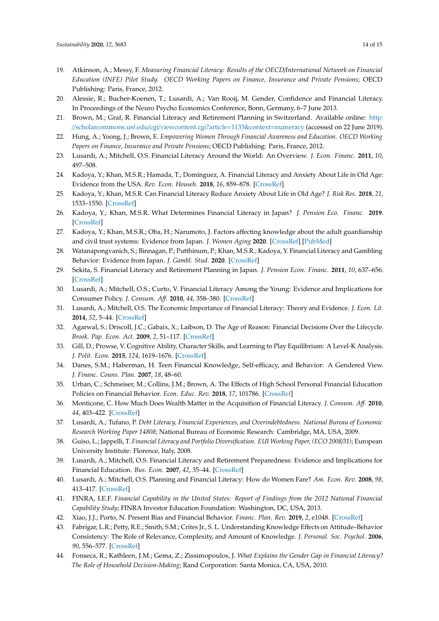- <span id="page-13-0"></span>19. Atkinson, A.; Messy, F. *Measuring Financial Literacy: Results of the OECD*/*International Network on Financial Education (INFE) Pilot Study. OECD Working Papers on Finance, Insurance and Private Pensions*; OECD Publishing: Paris, France, 2012.
- <span id="page-13-1"></span>20. Alessie, R.; Bucher-Koenen, T.; Lusardi, A.; Van Rooij, M. Gender, Confidence and Financial Literacy. In Proceedings of the Neuro Psycho Economics Conference, Bonn, Germany, 6–7 June 2013.
- <span id="page-13-2"></span>21. Brown, M.; Graf, R. Financial Literacy and Retirement Planning in Switzerland. Available online: [http:](http://scholarcommons.usf.edu/cgi/viewcontent.cgi?article=1133&context=numeracy) //[scholarcommons.usf.edu](http://scholarcommons.usf.edu/cgi/viewcontent.cgi?article=1133&context=numeracy)/cgi/viewcontent.cgi?article=1133&context=numeracy (accessed on 22 June 2019).
- <span id="page-13-3"></span>22. Hung, A.; Yoong, J.; Brown, E. *Empowering Women Through Financial Awareness and Education. OECD Working Papers on Finance, Insurance and Private Pensions*; OECD Publishing: Paris, France, 2012.
- <span id="page-13-4"></span>23. Lusardi, A.; Mitchell, O.S. Financial Literacy Around the World: An Overview. *J. Econ. Financ.* **2011**, *10*, 497–508.
- <span id="page-13-5"></span>24. Kadoya, Y.; Khan, M.S.R.; Hamada, T.; Dominguez, A. Financial Literacy and Anxiety About Life in Old Age: Evidence from the USA. *Rev. Econ. Househ.* **2018**, *16*, 859–878. [\[CrossRef\]](http://dx.doi.org/10.1007/s11150-017-9401-1)
- <span id="page-13-6"></span>25. Kadoya, Y.; Khan, M.S.R. Can Financial Literacy Reduce Anxiety About Life in Old Age? *J. Risk Res.* **2018**, *21*, 1533–1550. [\[CrossRef\]](http://dx.doi.org/10.1080/13669877.2017.1313760)
- <span id="page-13-7"></span>26. Kadoya, Y.; Khan, M.S.R. What Determines Financial Literacy in Japan? *J. Pension Eco. Financ.* **2019**. [\[CrossRef\]](http://dx.doi.org/10.1017/S1474747218000379)
- <span id="page-13-8"></span>27. Kadoya, Y.; Khan, M.S.R.; Oba, H.; Narumoto, J. Factors affecting knowledge about the adult guardianship and civil trust systems: Evidence from Japan. *J. Women Aging* **2020**. [\[CrossRef\]](http://dx.doi.org/10.1080/08952841.2020.1727711) [\[PubMed\]](http://www.ncbi.nlm.nih.gov/pubmed/32045341)
- <span id="page-13-9"></span>28. Watanapongvanich, S.; Binnagan, P.; Putthinum, P.; Khan, M.S.R.; Kadoya, Y. Financial Literacy and Gambling Behavior: Evidence from Japan. *J. Gambl. Stud.* **2020**. [\[CrossRef\]](http://dx.doi.org/10.1007/s10899-020-09936-3)
- <span id="page-13-10"></span>29. Sekita, S. Financial Literacy and Retirement Planning in Japan. *J. Pension Econ. Financ.* **2011**, *10*, 637–656. [\[CrossRef\]](http://dx.doi.org/10.1017/S1474747211000527)
- <span id="page-13-11"></span>30. Lusardi, A.; Mitchell, O.S.; Curto, V. Financial Literacy Among the Young: Evidence and Implications for Consumer Policy. *J. Consum. A*ff*.* **2010**, *44*, 358–380. [\[CrossRef\]](http://dx.doi.org/10.1111/j.1745-6606.2010.01173.x)
- <span id="page-13-12"></span>31. Lusardi, A.; Mitchell, O.S. The Economic Importance of Financial Literacy: Theory and Evidence. *J. Econ. Lit.* **2014**, *52*, 5–44. [\[CrossRef\]](http://dx.doi.org/10.1257/jel.52.1.5)
- <span id="page-13-13"></span>32. Agarwal, S.; Driscoll, J.C.; Gabaix, X.; Laibson, D. The Age of Reason: Financial Decisions Over the Lifecycle. *Brook. Pap. Econ. Act.* **2009**, *2*, 51–117. [\[CrossRef\]](http://dx.doi.org/10.1353/eca.0.0067)
- <span id="page-13-14"></span>33. Gill, D.; Prowse, V. Cognitive Ability, Character Skills, and Learning to Play Equilibrium: A Level-K Analysis. *J. Polit. Econ.* **2015**, *124*, 1619–1676. [\[CrossRef\]](http://dx.doi.org/10.1086/688849)
- <span id="page-13-15"></span>34. Danes, S.M.; Haberman, H. Teen Financial Knowledge, Self-efficacy, and Behavior: A Gendered View. *J. Financ. Couns. Plan.* **2007**, *18*, 48–60.
- <span id="page-13-16"></span>35. Urban, C.; Schmeiser, M.; Collins, J.M.; Brown, A. The Effects of High School Personal Financial Education Policies on Financial Behavior. *Econ. Educ. Rev.* **2018**, *17*, 101786. [\[CrossRef\]](http://dx.doi.org/10.1016/j.econedurev.2018.03.006)
- <span id="page-13-17"></span>36. Monticone, C. How Much Does Wealth Matter in the Acquisition of Financial Literacy. *J. Consum. A*ff*.* **2010**, *44*, 403–422. [\[CrossRef\]](http://dx.doi.org/10.1111/j.1745-6606.2010.01175.x)
- <span id="page-13-18"></span>37. Lusardi, A.; Tufano, P. *Debt Literacy, Financial Experiences, and Overindebtedness. National Bureau of Economic Research Working Paper 14808*; National Bureau of Economic Research: Cambridge, MA, USA, 2009.
- <span id="page-13-19"></span>38. Guiso, L.; Jappelli, T. *Financial Literacy and Portfolio Diversification. EUI Working Paper, (ECO 2008*/*31)*; European University Institute: Florence, Italy, 2008.
- <span id="page-13-20"></span>39. Lusardi, A.; Mitchell, O.S. Financial Literacy and Retirement Preparedness: Evidence and Implications for Financial Education. *Bus. Econ.* **2007**, *42*, 35–44. [\[CrossRef\]](http://dx.doi.org/10.2145/20070104)
- <span id="page-13-21"></span>40. Lusardi, A.; Mitchell, O.S. Planning and Financial Literacy: How do Women Fare? *Am. Econ. Rev.* **2008**, *98*, 413–417. [\[CrossRef\]](http://dx.doi.org/10.1257/aer.98.2.413)
- <span id="page-13-22"></span>41. FINRA, I.E.F. *Financial Capability in the United States: Report of Findings from the 2012 National Financial Capability Study*; FINRA Investor Education Foundation: Washington, DC, USA, 2013.
- <span id="page-13-23"></span>42. Xiao, J.J.; Porto, N. Present Bias and Financial Behavior. *Financ. Plan. Rev.* **2019**, *2*, e1048. [\[CrossRef\]](http://dx.doi.org/10.1002/cfp2.1048)
- <span id="page-13-24"></span>43. Fabrigar, L.R.; Petty, R.E.; Smith, S.M.; Crites Jr., S. L. Understanding Knowledge Effects on Attitude–Behavior Consistency: The Role of Relevance, Complexity, and Amount of Knowledge. *J. Personal. Soc. Psychol.* **2006**, *90*, 556–577. [\[CrossRef\]](http://dx.doi.org/10.1037/0022-3514.90.4.556)
- <span id="page-13-25"></span>44. Fonseca, R.; Kathleen, J.M.; Gema, Z.; Zissimopoulos, J. *What Explains the Gender Gap in Financial Literacy? The Role of Household Decision-Making*; Rand Corporation: Santa Monica, CA, USA, 2010.